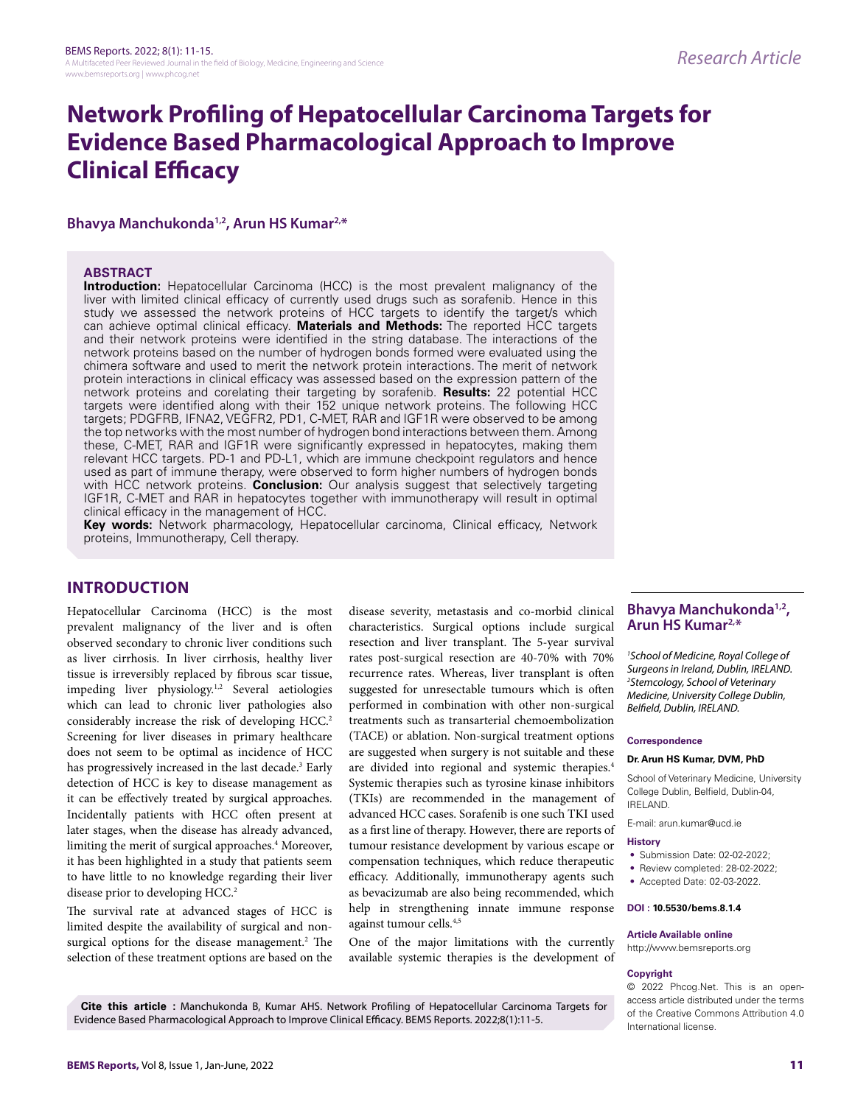# **Network Profiling of Hepatocellular Carcinoma Targets for Evidence Based Pharmacological Approach to Improve Clinical Efficacy**

### **Bhavya Manchukonda1,2, Arun HS Kumar2,\***

### **ABSTRACT**

**Introduction:** Hepatocellular Carcinoma (HCC) is the most prevalent malignancy of the liver with limited clinical efficacy of currently used drugs such as sorafenib. Hence in this study we assessed the network proteins of HCC targets to identify the target/s which can achieve optimal clinical efficacy. **Materials and Methods:** The reported HCC targets and their network proteins were identified in the string database. The interactions of the network proteins based on the number of hydrogen bonds formed were evaluated using the chimera software and used to merit the network protein interactions. The merit of network protein interactions in clinical efficacy was assessed based on the expression pattern of the network proteins and corelating their targeting by sorafenib. **Results:** 22 potential HCC targets were identified along with their 152 unique network proteins. The following HCC targets; PDGFRB, IFNA2, VEGFR2, PD1, C-MET, RAR and IGF1R were observed to be among the top networks with the most number of hydrogen bond interactions between them. Among these, C-MET, RAR and IGF1R were significantly expressed in hepatocytes, making them relevant HCC targets. PD-1 and PD-L1, which are immune checkpoint regulators and hence used as part of immune therapy, were observed to form higher numbers of hydrogen bonds with HCC network proteins. **Conclusion:** Our analysis suggest that selectively targeting IGF1R, C-MET and RAR in hepatocytes together with immunotherapy will result in optimal clinical efficacy in the management of HCC.

**Key words:** Network pharmacology, Hepatocellular carcinoma, Clinical efficacy, Network proteins, Immunotherapy, Cell therapy.

# **INTRODUCTION**

Hepatocellular Carcinoma (HCC) is the most prevalent malignancy of the liver and is often observed secondary to chronic liver conditions such as liver cirrhosis. In liver cirrhosis, healthy liver tissue is irreversibly replaced by fibrous scar tissue, impeding liver physiology.1,2 Several aetiologies which can lead to chronic liver pathologies also considerably increase the risk of developing HCC.<sup>2</sup> Screening for liver diseases in primary healthcare does not seem to be optimal as incidence of HCC has progressively increased in the last decade.<sup>3</sup> Early detection of HCC is key to disease management as it can be effectively treated by surgical approaches. Incidentally patients with HCC often present at later stages, when the disease has already advanced, limiting the merit of surgical approaches.<sup>4</sup> Moreover, it has been highlighted in a study that patients seem to have little to no knowledge regarding their liver disease prior to developing HCC.<sup>2</sup>

The survival rate at advanced stages of HCC is limited despite the availability of surgical and nonsurgical options for the disease management.<sup>2</sup> The selection of these treatment options are based on the

disease severity, metastasis and co-morbid clinical characteristics. Surgical options include surgical resection and liver transplant. The 5-year survival rates post-surgical resection are 40-70% with 70% recurrence rates. Whereas, liver transplant is often suggested for unresectable tumours which is often performed in combination with other non-surgical treatments such as transarterial chemoembolization (TACE) or ablation. Non-surgical treatment options are suggested when surgery is not suitable and these are divided into regional and systemic therapies.4 Systemic therapies such as tyrosine kinase inhibitors (TKIs) are recommended in the management of advanced HCC cases. Sorafenib is one such TKI used as a first line of therapy. However, there are reports of tumour resistance development by various escape or compensation techniques, which reduce therapeutic efficacy. Additionally, immunotherapy agents such as bevacizumab are also being recommended, which help in strengthening innate immune response against tumour cells.4,5

One of the major limitations with the currently available systemic therapies is the development of

### **Bhavya Manchukonda1,2, Arun HS Kumar2,\***

*1 School of Medicine, Royal College of Surgeons in Ireland, Dublin, IRELAND. 2 Stemcology, School of Veterinary Medicine, University College Dublin, Belfield, Dublin, IRELAND.*

#### **Correspondence**

#### **Dr. Arun HS Kumar, DVM, PhD**

School of Veterinary Medicine, University College Dublin, Belfield, Dublin-04, IRELAND.

E-mail: arun.kumar@ucd.ie

#### **History**

- Submission Date: 02-02-2022;
- Review completed: 28-02-2022;
- Accepted Date: 02-03-2022.

#### **DOI : 10.5530/bems.8.1.4**

#### **Article Available online**

http://www.bemsreports.org

#### **Copyright**

© 2022 Phcog.Net. This is an openaccess article distributed under the terms of the Creative Commons Attribution 4.0 International license.

**Cite this article :** Manchukonda B, Kumar AHS. Network Profiling of Hepatocellular Carcinoma Targets for Evidence Based Pharmacological Approach to Improve Clinical Efficacy. BEMS Reports. 2022;8(1):11-5.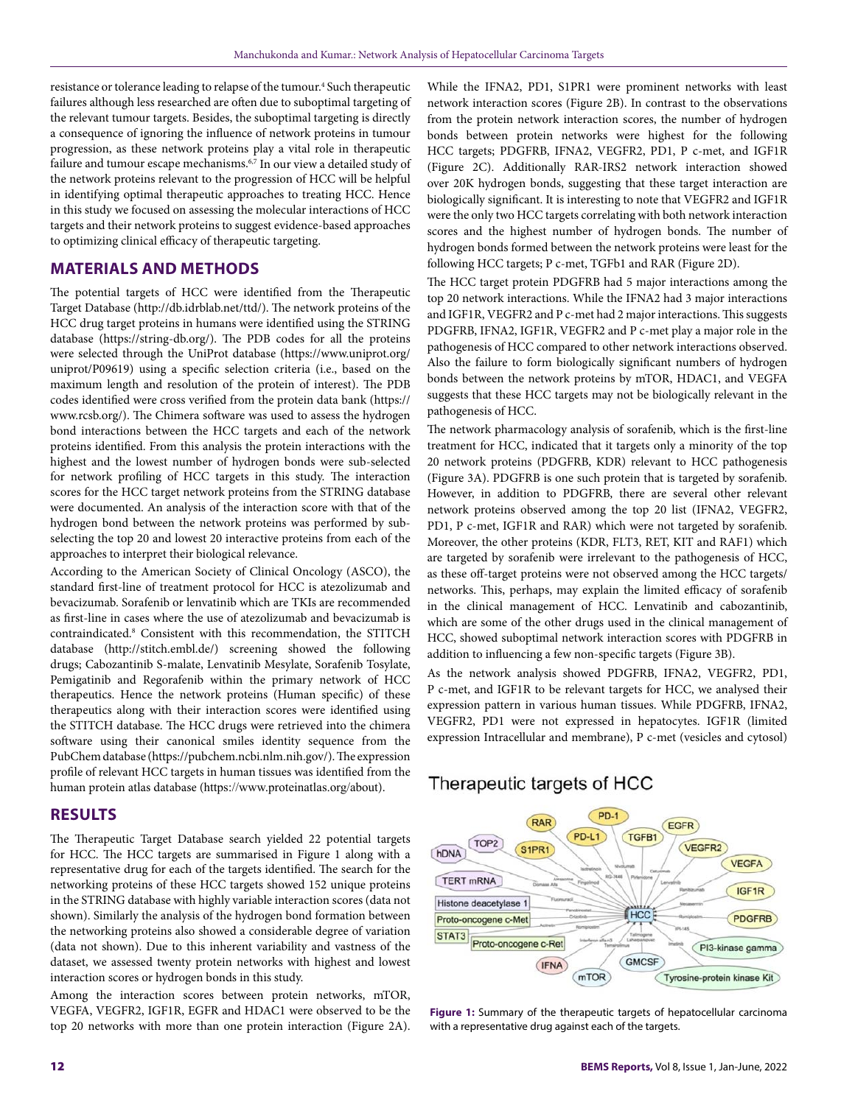resistance or tolerance leading to relapse of the tumour.<sup>4</sup> Such therapeutic failures although less researched are often due to suboptimal targeting of the relevant tumour targets. Besides, the suboptimal targeting is directly a consequence of ignoring the influence of network proteins in tumour progression, as these network proteins play a vital role in therapeutic failure and tumour escape mechanisms.<sup>6,7</sup> In our view a detailed study of the network proteins relevant to the progression of HCC will be helpful in identifying optimal therapeutic approaches to treating HCC. Hence in this study we focused on assessing the molecular interactions of HCC targets and their network proteins to suggest evidence-based approaches to optimizing clinical efficacy of therapeutic targeting.

# **MATERIALS AND METHODS**

The potential targets of HCC were identified from the Therapeutic Target Database (http://db.idrblab.net/ttd/). The network proteins of the HCC drug target proteins in humans were identified using the STRING database (https://string-db.org/). The PDB codes for all the proteins were selected through the UniProt database (https://www.uniprot.org/ uniprot/P09619) using a specific selection criteria (i.e., based on the maximum length and resolution of the protein of interest). The PDB codes identified were cross verified from the protein data bank (https:// www.rcsb.org/). The Chimera software was used to assess the hydrogen bond interactions between the HCC targets and each of the network proteins identified. From this analysis the protein interactions with the highest and the lowest number of hydrogen bonds were sub-selected for network profiling of HCC targets in this study. The interaction scores for the HCC target network proteins from the STRING database were documented. An analysis of the interaction score with that of the hydrogen bond between the network proteins was performed by subselecting the top 20 and lowest 20 interactive proteins from each of the approaches to interpret their biological relevance.

According to the American Society of Clinical Oncology (ASCO), the standard first-line of treatment protocol for HCC is atezolizumab and bevacizumab. Sorafenib or lenvatinib which are TKIs are recommended as first-line in cases where the use of atezolizumab and bevacizumab is contraindicated.8 Consistent with this recommendation, the STITCH database (http://stitch.embl.de/) screening showed the following drugs; Cabozantinib S-malate, Lenvatinib Mesylate, Sorafenib Tosylate, Pemigatinib and Regorafenib within the primary network of HCC therapeutics. Hence the network proteins (Human specific) of these therapeutics along with their interaction scores were identified using the STITCH database. The HCC drugs were retrieved into the chimera software using their canonical smiles identity sequence from the PubChem database (https://pubchem.ncbi.nlm.nih.gov/). The expression profile of relevant HCC targets in human tissues was identified from the human protein atlas database (https://www.proteinatlas.org/about).

# **RESULTS**

The Therapeutic Target Database search yielded 22 potential targets for HCC. The HCC targets are summarised in Figure 1 along with a representative drug for each of the targets identified. The search for the networking proteins of these HCC targets showed 152 unique proteins in the STRING database with highly variable interaction scores (data not shown). Similarly the analysis of the hydrogen bond formation between the networking proteins also showed a considerable degree of variation (data not shown). Due to this inherent variability and vastness of the dataset, we assessed twenty protein networks with highest and lowest interaction scores or hydrogen bonds in this study.

Among the interaction scores between protein networks, mTOR, VEGFA, VEGFR2, IGF1R, EGFR and HDAC1 were observed to be the top 20 networks with more than one protein interaction (Figure 2A). While the IFNA2, PD1, S1PR1 were prominent networks with least network interaction scores (Figure 2B). In contrast to the observations from the protein network interaction scores, the number of hydrogen bonds between protein networks were highest for the following HCC targets; PDGFRB, IFNA2, VEGFR2, PD1, P c-met, and IGF1R (Figure 2C). Additionally RAR-IRS2 network interaction showed over 20K hydrogen bonds, suggesting that these target interaction are biologically significant. It is interesting to note that VEGFR2 and IGF1R were the only two HCC targets correlating with both network interaction scores and the highest number of hydrogen bonds. The number of hydrogen bonds formed between the network proteins were least for the following HCC targets; P c-met, TGFb1 and RAR (Figure 2D).

The HCC target protein PDGFRB had 5 major interactions among the top 20 network interactions. While the IFNA2 had 3 major interactions and IGF1R, VEGFR2 and P c-met had 2 major interactions. This suggests PDGFRB, IFNA2, IGF1R, VEGFR2 and P c-met play a major role in the pathogenesis of HCC compared to other network interactions observed. Also the failure to form biologically significant numbers of hydrogen bonds between the network proteins by mTOR, HDAC1, and VEGFA suggests that these HCC targets may not be biologically relevant in the pathogenesis of HCC.

The network pharmacology analysis of sorafenib, which is the first-line treatment for HCC, indicated that it targets only a minority of the top 20 network proteins (PDGFRB, KDR) relevant to HCC pathogenesis (Figure 3A). PDGFRB is one such protein that is targeted by sorafenib. However, in addition to PDGFRB, there are several other relevant network proteins observed among the top 20 list (IFNA2, VEGFR2, PD1, P c-met, IGF1R and RAR) which were not targeted by sorafenib. Moreover, the other proteins (KDR, FLT3, RET, KIT and RAF1) which are targeted by sorafenib were irrelevant to the pathogenesis of HCC, as these off-target proteins were not observed among the HCC targets/ networks. This, perhaps, may explain the limited efficacy of sorafenib in the clinical management of HCC. Lenvatinib and cabozantinib, which are some of the other drugs used in the clinical management of HCC, showed suboptimal network interaction scores with PDGFRB in addition to influencing a few non-specific targets (Figure 3B).

As the network analysis showed PDGFRB, IFNA2, VEGFR2, PD1, P c-met, and IGF1R to be relevant targets for HCC, we analysed their expression pattern in various human tissues. While PDGFRB, IFNA2, VEGFR2, PD1 were not expressed in hepatocytes. IGF1R (limited expression Intracellular and membrane), P c-met (vesicles and cytosol)

# Therapeutic targets of HCC



**Figure 1:** Summary of the therapeutic targets of hepatocellular carcinoma with a representative drug against each of the targets.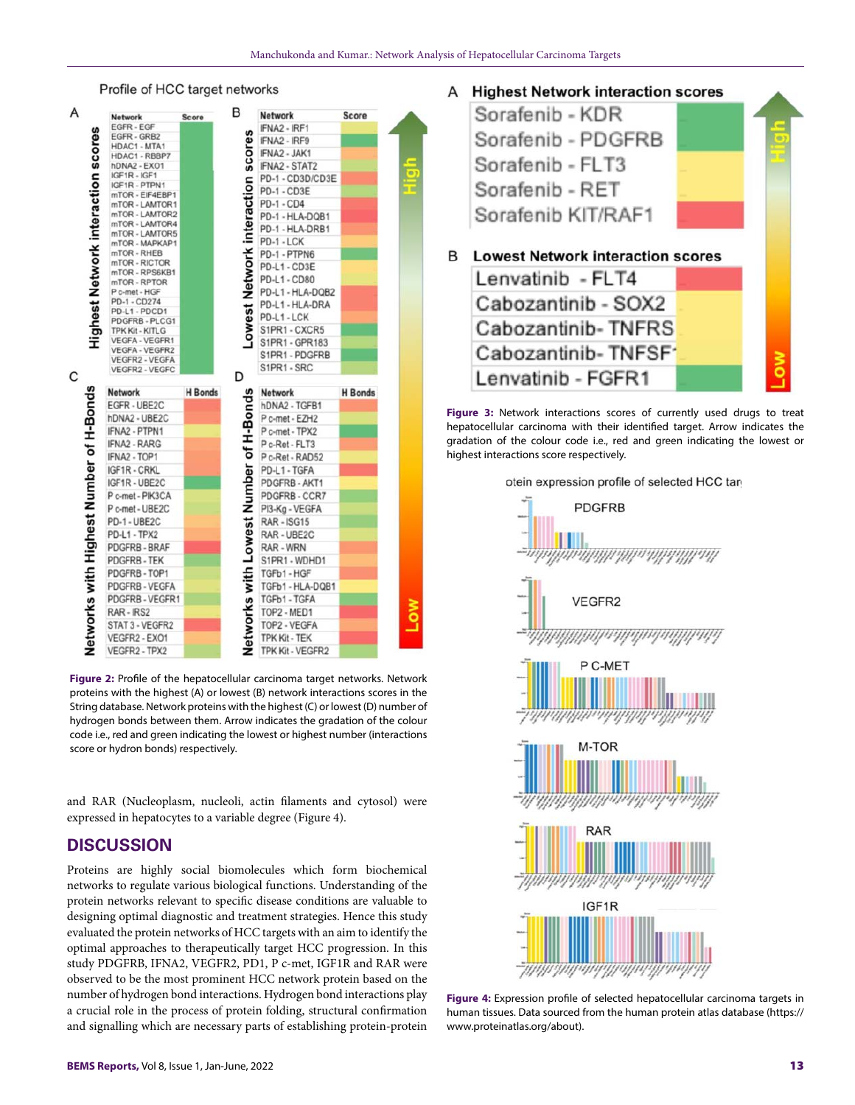

**Figure 2:** Profile of the hepatocellular carcinoma target networks. Network proteins with the highest (A) or lowest (B) network interactions scores in the String database. Network proteins with the highest (C) or lowest (D) number of hydrogen bonds between them. Arrow indicates the gradation of the colour code i.e., red and green indicating the lowest or highest number (interactions score or hydron bonds) respectively.

and RAR (Nucleoplasm, nucleoli, actin filaments and cytosol) were expressed in hepatocytes to a variable degree (Figure 4).

# **DISCUSSION**

Proteins are highly social biomolecules which form biochemical networks to regulate various biological functions. Understanding of the protein networks relevant to specific disease conditions are valuable to designing optimal diagnostic and treatment strategies. Hence this study evaluated the protein networks of HCC targets with an aim to identify the optimal approaches to therapeutically target HCC progression. In this study PDGFRB, IFNA2, VEGFR2, PD1, P c-met, IGF1R and RAR were observed to be the most prominent HCC network protein based on the number of hydrogen bond interactions. Hydrogen bond interactions play a crucial role in the process of protein folding, structural confirmation and signalling which are necessary parts of establishing protein-protein

# A Highest Network interaction scores



**Figure 3:** Network interactions scores of currently used drugs to treat hepatocellular carcinoma with their identified target. Arrow indicates the gradation of the colour code i.e., red and green indicating the lowest or highest interactions score respectively.





**Figure 4:** Expression profile of selected hepatocellular carcinoma targets in human tissues. Data sourced from the human protein atlas database (https:// www.proteinatlas.org/about).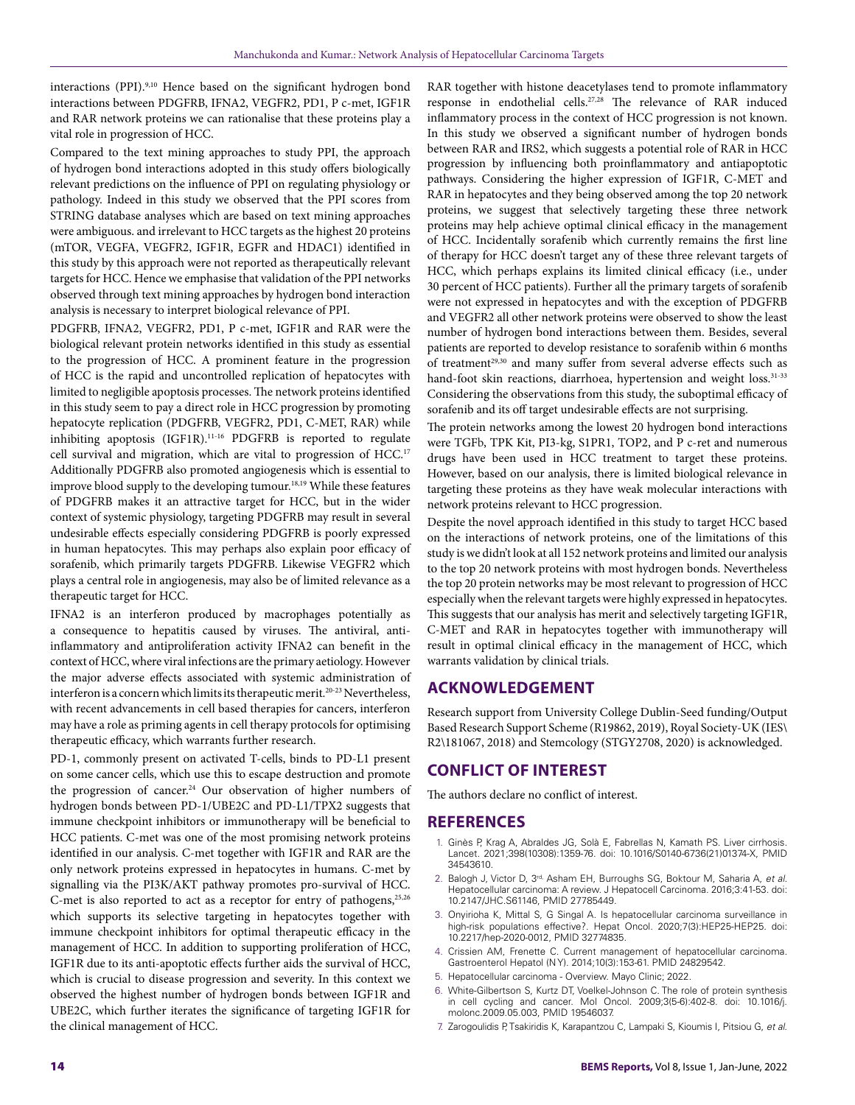interactions (PPI).9,10 Hence based on the significant hydrogen bond interactions between PDGFRB, IFNA2, VEGFR2, PD1, P c-met, IGF1R and RAR network proteins we can rationalise that these proteins play a vital role in progression of HCC.

Compared to the text mining approaches to study PPI, the approach of hydrogen bond interactions adopted in this study offers biologically relevant predictions on the influence of PPI on regulating physiology or pathology. Indeed in this study we observed that the PPI scores from STRING database analyses which are based on text mining approaches were ambiguous. and irrelevant to HCC targets as the highest 20 proteins (mTOR, VEGFA, VEGFR2, IGF1R, EGFR and HDAC1) identified in this study by this approach were not reported as therapeutically relevant targets for HCC. Hence we emphasise that validation of the PPI networks observed through text mining approaches by hydrogen bond interaction analysis is necessary to interpret biological relevance of PPI.

PDGFRB, IFNA2, VEGFR2, PD1, P c-met, IGF1R and RAR were the biological relevant protein networks identified in this study as essential to the progression of HCC. A prominent feature in the progression of HCC is the rapid and uncontrolled replication of hepatocytes with limited to negligible apoptosis processes. The network proteins identified in this study seem to pay a direct role in HCC progression by promoting hepatocyte replication (PDGFRB, VEGFR2, PD1, C-MET, RAR) while inhibiting apoptosis (IGF1R).11-16 PDGFRB is reported to regulate cell survival and migration, which are vital to progression of HCC.<sup>17</sup> Additionally PDGFRB also promoted angiogenesis which is essential to improve blood supply to the developing tumour.<sup>18,19</sup> While these features of PDGFRB makes it an attractive target for HCC, but in the wider context of systemic physiology, targeting PDGFRB may result in several undesirable effects especially considering PDGFRB is poorly expressed in human hepatocytes. This may perhaps also explain poor efficacy of sorafenib, which primarily targets PDGFRB. Likewise VEGFR2 which plays a central role in angiogenesis, may also be of limited relevance as a therapeutic target for HCC.

IFNA2 is an interferon produced by macrophages potentially as a consequence to hepatitis caused by viruses. The antiviral, antiinflammatory and antiproliferation activity IFNA2 can benefit in the context of HCC, where viral infections are the primary aetiology. However the major adverse effects associated with systemic administration of interferon is a concern which limits its therapeutic merit.<sup>20-23</sup> Nevertheless, with recent advancements in cell based therapies for cancers, interferon may have a role as priming agents in cell therapy protocols for optimising therapeutic efficacy, which warrants further research.

PD-1, commonly present on activated T-cells, binds to PD-L1 present on some cancer cells, which use this to escape destruction and promote the progression of cancer.<sup>24</sup> Our observation of higher numbers of hydrogen bonds between PD-1/UBE2C and PD-L1/TPX2 suggests that immune checkpoint inhibitors or immunotherapy will be beneficial to HCC patients. C-met was one of the most promising network proteins identified in our analysis. C-met together with IGF1R and RAR are the only network proteins expressed in hepatocytes in humans. C-met by signalling via the PI3K/AKT pathway promotes pro-survival of HCC. C-met is also reported to act as a receptor for entry of pathogens,  $25,26$ which supports its selective targeting in hepatocytes together with immune checkpoint inhibitors for optimal therapeutic efficacy in the management of HCC. In addition to supporting proliferation of HCC, IGF1R due to its anti-apoptotic effects further aids the survival of HCC, which is crucial to disease progression and severity. In this context we observed the highest number of hydrogen bonds between IGF1R and UBE2C, which further iterates the significance of targeting IGF1R for the clinical management of HCC.

RAR together with histone deacetylases tend to promote inflammatory response in endothelial cells.27,28 The relevance of RAR induced inflammatory process in the context of HCC progression is not known. In this study we observed a significant number of hydrogen bonds between RAR and IRS2, which suggests a potential role of RAR in HCC progression by influencing both proinflammatory and antiapoptotic pathways. Considering the higher expression of IGF1R, C-MET and RAR in hepatocytes and they being observed among the top 20 network proteins, we suggest that selectively targeting these three network proteins may help achieve optimal clinical efficacy in the management of HCC. Incidentally sorafenib which currently remains the first line of therapy for HCC doesn't target any of these three relevant targets of HCC, which perhaps explains its limited clinical efficacy (i.e., under 30 percent of HCC patients). Further all the primary targets of sorafenib were not expressed in hepatocytes and with the exception of PDGFRB and VEGFR2 all other network proteins were observed to show the least number of hydrogen bond interactions between them. Besides, several patients are reported to develop resistance to sorafenib within 6 months of treatment<sup>29,30</sup> and many suffer from several adverse effects such as hand-foot skin reactions, diarrhoea, hypertension and weight loss.<sup>31-33</sup> Considering the observations from this study, the suboptimal efficacy of sorafenib and its off target undesirable effects are not surprising.

The protein networks among the lowest 20 hydrogen bond interactions were TGFb, TPK Kit, PI3-kg, S1PR1, TOP2, and P c-ret and numerous drugs have been used in HCC treatment to target these proteins. However, based on our analysis, there is limited biological relevance in targeting these proteins as they have weak molecular interactions with network proteins relevant to HCC progression.

Despite the novel approach identified in this study to target HCC based on the interactions of network proteins, one of the limitations of this study is we didn't look at all 152 network proteins and limited our analysis to the top 20 network proteins with most hydrogen bonds. Nevertheless the top 20 protein networks may be most relevant to progression of HCC especially when the relevant targets were highly expressed in hepatocytes. This suggests that our analysis has merit and selectively targeting IGF1R, C-MET and RAR in hepatocytes together with immunotherapy will result in optimal clinical efficacy in the management of HCC, which warrants validation by clinical trials.

### **ACKNOWLEDGEMENT**

Research support from University College Dublin-Seed funding/Output Based Research Support Scheme (R19862, 2019), Royal Society-UK (IES\ R2\181067, 2018) and Stemcology (STGY2708, 2020) is acknowledged.

### **CONFLICT OF INTEREST**

The authors declare no conflict of interest.

### **REFERENCES**

- 1. Ginès P, Krag A, Abraldes JG, Solà E, Fabrellas N, Kamath PS. Liver cirrhosis. Lancet. 2021;398(10308):1359-76. doi: 10.1016/S0140-6736(21)01374-X, PMID 34543610.
- 2. Balogh J, Victor D, 3rd, Asham EH, Burroughs SG, Boktour M, Saharia A, *et al*. Hepatocellular carcinoma: A review. J Hepatocell Carcinoma. 2016;3:41-53. doi: 10.2147/JHC.S61146, PMID 27785449.
- 3. Onyirioha K, Mittal S, G Singal A. Is hepatocellular carcinoma surveillance in high-risk populations effective?. Hepat Oncol. 2020;7(3):HEP25-HEP25. doi: 10.2217/hep-2020-0012, PMID 32774835.
- 4. Crissien AM, Frenette C. Current management of hepatocellular carcinoma. Gastroenterol Hepatol (N Y). 2014;10(3):153-61. PMID 24829542.
- 5. Hepatocellular carcinoma Overview. Mayo Clinic; 2022.
- 6. White-Gilbertson S, Kurtz DT, Voelkel-Johnson C. The role of protein synthesis in cell cycling and cancer. Mol Oncol. 2009;3(5-6):402-8. doi: 10.1016/j. molonc.2009.05.003, PMID 19546037.
- 7. Zarogoulidis P, Tsakiridis K, Karapantzou C, Lampaki S, Kioumis I, Pitsiou G, *et al*.